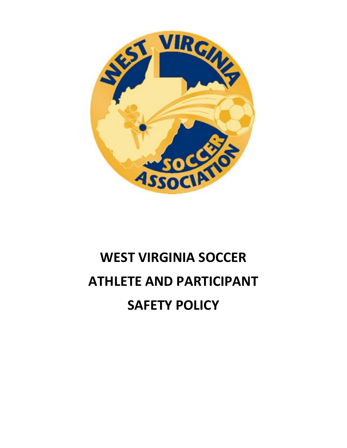

# **WEST VIRGINIA SOCCER ATHLETE AND PARTICIPANT SAFETY POLICY**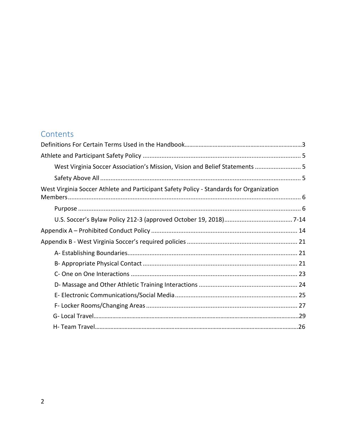## Contents

| West Virginia Soccer Association's Mission, Vision and Belief Statements  5             |  |
|-----------------------------------------------------------------------------------------|--|
|                                                                                         |  |
| West Virginia Soccer Athlete and Participant Safety Policy - Standards for Organization |  |
|                                                                                         |  |
|                                                                                         |  |
|                                                                                         |  |
|                                                                                         |  |
|                                                                                         |  |
|                                                                                         |  |
|                                                                                         |  |
|                                                                                         |  |
|                                                                                         |  |
|                                                                                         |  |
|                                                                                         |  |
|                                                                                         |  |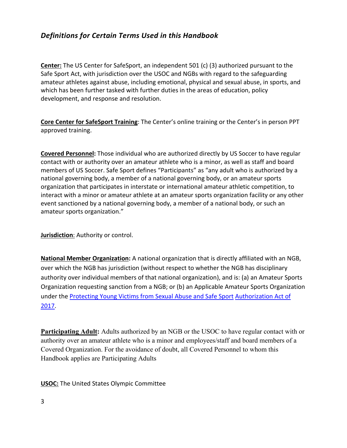## *Definitions for Certain Terms Used in this Handbook*

**Center:** The US Center for SafeSport, an independent 501 (c) (3) authorized pursuant to the Safe Sport Act, with jurisdiction over the USOC and NGBs with regard to the safeguarding amateur athletes against abuse, including emotional, physical and sexual abuse, in sports, and which has been further tasked with further duties in the areas of education, policy development, and response and resolution.

**Core Center for SafeSport Training**: The Center's online training or the Center's in person PPT approved training.

**Covered Personnel:** Those individual who are authorized directly by US Soccer to have regular contact with or authority over an amateur athlete who is a minor, as well as staff and board members of US Soccer. Safe Sport defines "Participants" as "any adult who is authorized by a national governing body, a member of a national governing body, or an amateur sports organization that participates in interstate or international amateur athletic competition, to interact with a minor or amateur athlete at an amateur sports organization facility or any other event sanctioned by a national governing body, a member of a national body, or such an amateur sports organization."

**Jurisdiction**: Authority or control.

**National Member Organization:** A national organization that is directly affiliated with an NGB, over which the NGB has jurisdiction (without respect to whether the NGB has disciplinary authority over individual members of that national organization), and is: (a) an Amateur Sports Organization requesting sanction from a NGB; or (b) an Applicable Amateur Sports Organization under the [Protecting Young Victims from Sexual Abuse and Safe Sport](https://77media.blob.core.windows.net/uscss/1520354611809.fact-sheet---protecting-young-victims-from-sexual-abuse-and-safe-sport-authorization-act-of-2017.pdf) [Authorization Act of](https://77media.blob.core.windows.net/uscss/1520354611809.fact-sheet---protecting-young-victims-from-sexual-abuse-and-safe-sport-authorization-act-of-2017.pdf) [2017.](https://77media.blob.core.windows.net/uscss/1520354611809.fact-sheet---protecting-young-victims-from-sexual-abuse-and-safe-sport-authorization-act-of-2017.pdf)

**Participating Adult:** Adults authorized by an NGB or the USOC to have regular contact with or authority over an amateur athlete who is a minor and employees/staff and board members of a Covered Organization. For the avoidance of doubt, all Covered Personnel to whom this Handbook applies are Participating Adults

**USOC:** The United States Olympic Committee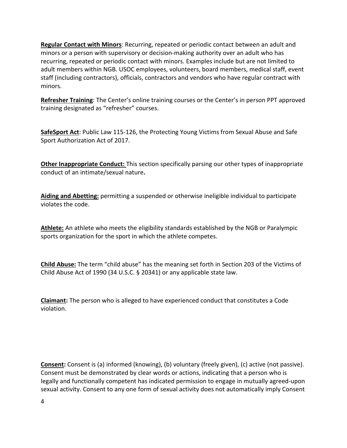**Regular Contact with Minors**: Recurring, repeated or periodic contact between an adult and minors or a person with supervisory or decision-making authority over an adult who has recurring, repeated or periodic contact with minors. Examples include but are not limited to adult members within NGB. USOC employees, volunteers, board members, medical staff, event staff (including contractors), officials, contractors and vendors who have regular contract with minors.

**Refresher Training**: The Center's online training courses or the Center's in person PPT approved training designated as "refresher" courses.

**SafeSport Act**: Public Law 115-126, the Protecting Young Victims from Sexual Abuse and Safe Sport Authorization Act of 2017.

**Other Inappropriate Conduct:** This section specifically parsing our other types of inappropriate conduct of an intimate/sexual nature**.** 

**Aiding and Abetting:** permitting a suspended or otherwise ineligible individual to participate violates the code.

**Athlete:** An athlete who meets the eligibility standards established by the NGB or Paralympic sports organization for the sport in which the athlete competes.

**Child Abuse:** The term "child abuse" has the meaning set forth in Section 203 of the Victims of Child Abuse Act of 1990 (34 U.S.C. § 20341) or any applicable state law.

**Claimant:** The person who is alleged to have experienced conduct that constitutes a Code violation.

**Consent:** Consent is (a) informed (knowing), (b) voluntary (freely given), (c) active (not passive). Consent must be demonstrated by clear words or actions, indicating that a person who is legally and functionally competent has indicated permission to engage in mutually agreed-upon sexual activity. Consent to any one form of sexual activity does not automatically imply Consent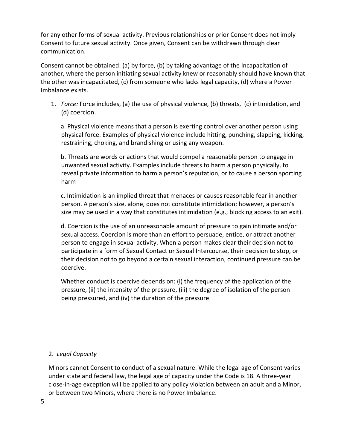for any other forms of sexual activity. Previous relationships or prior Consent does not imply Consent to future sexual activity. Once given, Consent can be withdrawn through clear communication.

Consent cannot be obtained: (a) by force, (b) by taking advantage of the Incapacitation of another, where the person initiating sexual activity knew or reasonably should have known that the other was incapacitated, (c) from someone who lacks legal capacity, (d) where a Power Imbalance exists.

1. *Force:* Force includes, (a) the use of physical violence, (b) threats, (c) intimidation, and (d) coercion.

 a. Physical violence means that a person is exerting control over another person using physical force. Examples of physical violence include hitting, punching, slapping, kicking, restraining, choking, and brandishing or using any weapon.

 b. Threats are words or actions that would compel a reasonable person to engage in unwanted sexual activity. Examples include threats to harm a person physically, to reveal private information to harm a person's reputation, or to cause a person sporting harm

 c. Intimidation is an implied threat that menaces or causes reasonable fear in another person. A person's size, alone, does not constitute intimidation; however, a person's size may be used in a way that constitutes intimidation (e.g., blocking access to an exit).

 d. Coercion is the use of an unreasonable amount of pressure to gain intimate and/or sexual access. Coercion is more than an effort to persuade, entice, or attract another person to engage in sexual activity. When a person makes clear their decision not to participate in a form of Sexual Contact or Sexual Intercourse, their decision to stop, or their decision not to go beyond a certain sexual interaction, continued pressure can be coercive.

 Whether conduct is coercive depends on: (i) the frequency of the application of the pressure, (ii) the intensity of the pressure, (iii) the degree of isolation of the person being pressured, and (iv) the duration of the pressure.

#### 2. *Legal Capacity*

Minors cannot Consent to conduct of a sexual nature. While the legal age of Consent varies under state and federal law, the legal age of capacity under the Code is 18. A three-year close-in-age exception will be applied to any policy violation between an adult and a Minor, or between two Minors, where there is no Power Imbalance.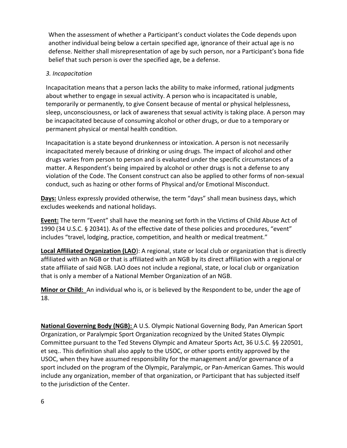When the assessment of whether a Participant's conduct violates the Code depends upon another individual being below a certain specified age, ignorance of their actual age is no defense. Neither shall misrepresentation of age by such person, nor a Participant's bona fide belief that such person is over the specified age, be a defense.

#### *3. Incapacitation*

Incapacitation means that a person lacks the ability to make informed, rational judgments about whether to engage in sexual activity. A person who is incapacitated is unable, temporarily or permanently, to give Consent because of mental or physical helplessness, sleep, unconsciousness, or lack of awareness that sexual activity is taking place. A person may be incapacitated because of consuming alcohol or other drugs, or due to a temporary or permanent physical or mental health condition.

Incapacitation is a state beyond drunkenness or intoxication. A person is not necessarily incapacitated merely because of drinking or using drugs. The impact of alcohol and other drugs varies from person to person and is evaluated under the specific circumstances of a matter. A Respondent's being impaired by alcohol or other drugs is not a defense to any violation of the Code. The Consent construct can also be applied to other forms of non-sexual conduct, such as hazing or other forms of Physical and/or Emotional Misconduct.

**Days:** Unless expressly provided otherwise, the term "days" shall mean business days, which excludes weekends and national holidays.

**Event:** The term "Event" shall have the meaning set forth in the Victims of Child Abuse Act of 1990 (34 U.S.C. § 20341). As of the effective date of these policies and procedures, "event" includes "travel, lodging, practice, competition, and health or medical treatment."

**Local Affiliated Organization (LAO**): A regional, state or local club or organization that is directly affiliated with an NGB or that is affiliated with an NGB by its direct affiliation with a regional or state affiliate of said NGB. LAO does not include a regional, state, or local club or organization that is only a member of a National Member Organization of an NGB.

**Minor or Child:** An individual who is, or is believed by the Respondent to be, under the age of 18.

**National Governing Body (NGB):** A U.S. Olympic National Governing Body, Pan American Sport Organization, or Paralympic Sport Organization recognized by the United States Olympic Committee pursuant to the Ted Stevens Olympic and Amateur Sports Act, 36 U.S.C. §§ 220501, et seq.. This definition shall also apply to the USOC, or other sports entity approved by the USOC, when they have assumed responsibility for the management and/or governance of a sport included on the program of the Olympic, Paralympic, or Pan-American Games. This would include any organization, member of that organization, or Participant that has subjected itself to the jurisdiction of the Center.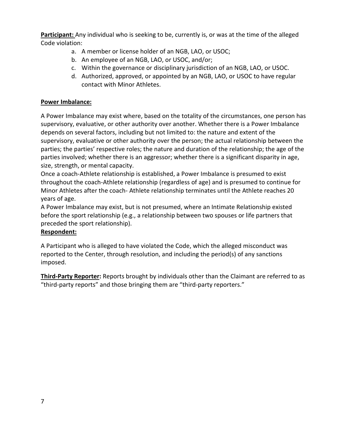**Participant:** Any individual who is seeking to be, currently is, or was at the time of the alleged Code violation:

- a. A member or license holder of an NGB, LAO, or USOC;
- b. An employee of an NGB, LAO, or USOC, and/or;
- c. Within the governance or disciplinary jurisdiction of an NGB, LAO, or USOC.
- d. Authorized, approved, or appointed by an NGB, LAO, or USOC to have regular contact with Minor Athletes.

#### **Power Imbalance:**

A Power Imbalance may exist where, based on the totality of the circumstances, one person has supervisory, evaluative, or other authority over another. Whether there is a Power Imbalance depends on several factors, including but not limited to: the nature and extent of the supervisory, evaluative or other authority over the person; the actual relationship between the parties; the parties' respective roles; the nature and duration of the relationship; the age of the parties involved; whether there is an aggressor; whether there is a significant disparity in age, size, strength, or mental capacity.

Once a coach-Athlete relationship is established, a Power Imbalance is presumed to exist throughout the coach-Athlete relationship (regardless of age) and is presumed to continue for Minor Athletes after the coach- Athlete relationship terminates until the Athlete reaches 20 years of age.

A Power Imbalance may exist, but is not presumed, where an Intimate Relationship existed before the sport relationship (e.g., a relationship between two spouses or life partners that preceded the sport relationship).

#### **Respondent:**

A Participant who is alleged to have violated the Code, which the alleged misconduct was reported to the Center, through resolution, and including the period(s) of any sanctions imposed.

**Third-Party Reporter:** Reports brought by individuals other than the Claimant are referred to as "third-party reports" and those bringing them are "third-party reporters."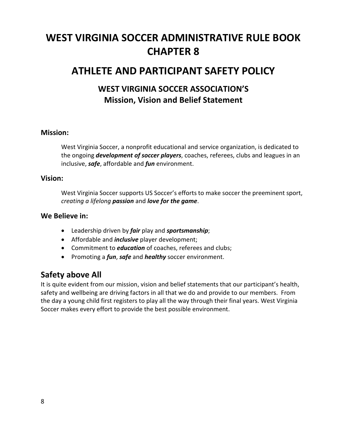## **WEST VIRGINIA SOCCER ADMINISTRATIVE RULE BOOK CHAPTER 8**

## **ATHLETE AND PARTICIPANT SAFETY POLICY**

## **WEST VIRGINIA SOCCER ASSOCIATION'S Mission, Vision and Belief Statement**

#### **Mission:**

West Virginia Soccer, a nonprofit educational and service organization, is dedicated to the ongoing *development of soccer players*, coaches, referees, clubs and leagues in an inclusive, *safe*, affordable and *fun* environment.

#### **Vision:**

West Virginia Soccer supports US Soccer's efforts to make soccer the preeminent sport, *creating a lifelong passion* and *love for the game*.

#### **We Believe in:**

- Leadership driven by *fair* play and *sportsmanship*;
- Affordable and *inclusive* player development;
- Commitment to *education* of coaches, referees and clubs;
- Promoting a *fun*, *safe* and *healthy* soccer environment.

#### <span id="page-7-0"></span>**Safety above All**

It is quite evident from our mission, vision and belief statements that our participant's health, safety and wellbeing are driving factors in all that we do and provide to our members. From the day a young child first registers to play all the way through their final years. West Virginia Soccer makes every effort to provide the best possible environment.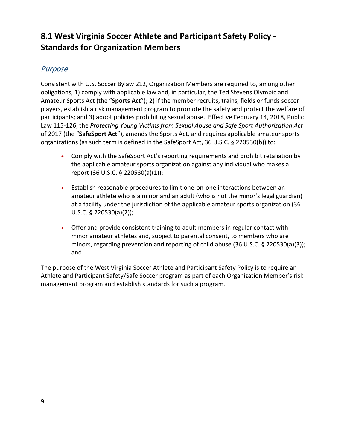## <span id="page-8-0"></span>**8.1 West Virginia Soccer Athlete and Participant Safety Policy - Standards for Organization Members**

## <span id="page-8-1"></span>Purpose

Consistent with U.S. Soccer Bylaw 212, Organization Members are required to, among other obligations, 1) comply with applicable law and, in particular, the Ted Stevens Olympic and Amateur Sports Act (the "**Sports Act**"); 2) if the member recruits, trains, fields or funds soccer players, establish a risk management program to promote the safety and protect the welfare of participants; and 3) adopt policies prohibiting sexual abuse. Effective February 14, 2018, Public Law 115-126, the *Protecting Young Victims from Sexual Abuse and Safe Sport Authorization Act* of 2017 (the "**SafeSport Act**"), amends the Sports Act, and requires applicable amateur sports organizations (as such term is defined in the SafeSport Act, 36 U.S.C. § 220530(b)) to:

- Comply with the SafeSport Act's reporting requirements and prohibit retaliation by the applicable amateur sports organization against any individual who makes a report (36 U.S.C. § 220530(a)(1));
- Establish reasonable procedures to limit one-on-one interactions between an amateur athlete who is a minor and an adult (who is not the minor's legal guardian) at a facility under the jurisdiction of the applicable amateur sports organization (36 U.S.C. § 220530(a)(2));
- Offer and provide consistent training to adult members in regular contact with minor amateur athletes and, subject to parental consent, to members who are minors, regarding prevention and reporting of child abuse (36 U.S.C. § 220530(a)(3)); and

The purpose of the West Virginia Soccer Athlete and Participant Safety Policy is to require an Athlete and Participant Safety/Safe Soccer program as part of each Organization Member's risk management program and establish standards for such a program.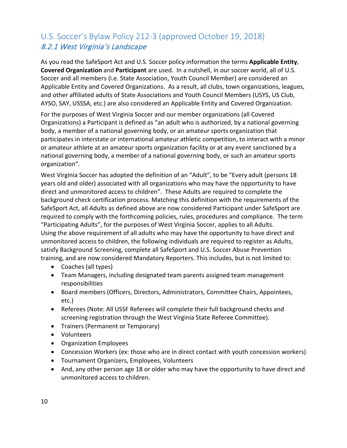## <span id="page-9-0"></span>U.S. Soccer's Bylaw Policy 212-3 (approved October 19, 2018) 8.2.1 West Virginia's Landscape

As you read the SafeSport Act and U.S. Soccer policy information the terms **Applicable Entity**, **Covered Organization** and **Participant** are used. In a nutshell, in our soccer world, all of U.S. Soccer and all members (i.e. State Association, Youth Council Member) are considered an Applicable Entity and Covered Organizations. As a result, all clubs, town organizations, leagues, and other affiliated adults of State Associations and Youth Council Members (USYS, US Club, AYSO, SAY, USSSA, etc.) are also considered an Applicable Entity and Covered Organization.

For the purposes of West Virginia Soccer and our member organizations (all Covered Organizations) a Participant is defined as "an adult who is authorized, by a national governing body, a member of a national governing body, or an amateur sports organization that participates in interstate or international amateur athletic competition, to interact with a minor or amateur athlete at an amateur sports organization facility or at any event sanctioned by a national governing body, a member of a national governing body, or such an amateur sports organization".

West Virginia Soccer has adopted the definition of an "Adult", to be "Every adult (persons 18 years old and older) associated with all organizations who may have the opportunity to have direct and unmonitored access to children". These Adults are required to complete the background check certification process. Matching this definition with the requirements of the SafeSport Act, all Adults as defined above are now considered Participant under SafeSport are required to comply with the forthcoming policies, rules, procedures and compliance. The term "Participating Adults", for the purposes of West Virginia Soccer, applies to all Adults. Using the above requirement of all adults who may have the opportunity to have direct and unmonitored access to children, the following individuals are required to register as Adults, satisfy Background Screening, complete all SafeSport and U.S. Soccer Abuse Prevention training, and are now considered Mandatory Reporters. This includes, but is not limited to:

- Coaches (all types)
- Team Managers, including designated team parents assigned team management responsibilities
- Board members (Officers, Directors, Administrators, Committee Chairs, Appointees, etc.)
- Referees (Note: All USSF Referees will complete their full background checks and screening registration through the West Virginia State Referee Committee).
- Trainers (Permanent or Temporary)
- Volunteers
- Organization Employees
- Concession Workers (ex: those who are in direct contact with youth concession workers)
- Tournament Organizers, Employees, Volunteers
- And, any other person age 18 or older who may have the opportunity to have direct and unmonitored access to children.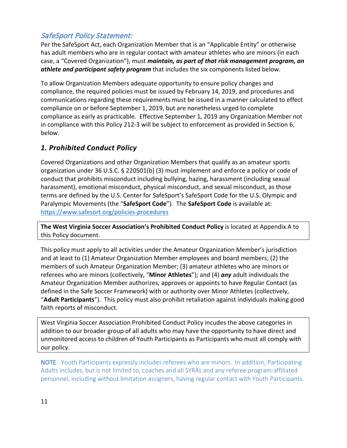## SafeSport Policy Statement:

Per the SafeSport Act, each Organization Member that is an "Applicable Entity" or otherwise has adult members who are in regular contact with amateur athletes who are minors (in each case, a "Covered Organization"), must *maintain, as part of that risk management program, an athlete and participant safety program* that includes the six components listed below.

To allow Organization Members adequate opportunity to ensure policy changes and compliance, the required policies must be issued by February 14, 2019, and procedures and communications regarding these requirements must be issued in a manner calculated to effect compliance on or before September 1, 2019, but are nonetheless urged to complete compliance as early as practicable. Effective September 1, 2019 any Organization Member not in compliance with this Policy 212-3 will be subject to enforcement as provided in Section 6, below.

## *1. Prohibited Conduct Policy*

Covered Organizations and other Organization Members that qualify as an amateur sports organization under 36 U.S.C. § 220501(b) (3) must implement and enforce a policy or code of conduct that prohibits misconduct including bullying, hazing, harassment (including sexual harassment), emotional misconduct, physical misconduct, and sexual misconduct, as those terms are defined by the U.S. Center for SafeSport's SafeSport Code for the U.S. Olympic and Paralympic Movements (the "**SafeSport Code**"). The **SafeSport Code** is available at: <https://www.safesort.org/policies-procedures>

**The West Virginia Soccer Association's Prohibited Conduct Policy** is located at Appendix A to this Policy document.

This policy must apply to all activities under the Amateur Organization Member's jurisdiction and at least to (1) Amateur Organization Member employees and board members; (2) the members of such Amateur Organization Member; (3) amateur athletes who are minors or referees who are minors (collectively, "**Minor Athletes**"); and (4) *any* adult individuals the Amateur Organization Member authorizes, approves or appoints to have Regular Contact (as defined in the Safe Soccer Framework) with or authority over Minor Athletes (collectively, "**Adult Participants**"). This policy must also prohibit retaliation against individuals making good faith reports of misconduct.

West Virginia Soccer Association Prohibited Conduct Policy incudes the above categories in addition to our broader group of all adults who may have the opportunity to have direct and unmonitored access to children of Youth Participants as Participants who must all comply with our policy.

NOTE: Youth Participants expressly includes referees who are minors. In addition, Participating Adults includes, but is not limited to, coaches and all SYRAs and any referee program-affiliated personnel, including without limitation assigners, having regular contact with Youth Participants.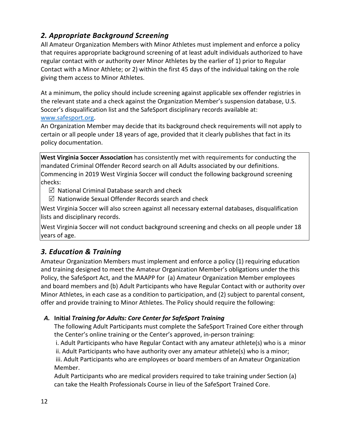## *2. Appropriate Background Screening*

All Amateur Organization Members with Minor Athletes must implement and enforce a policy that requires appropriate background screening of at least adult individuals authorized to have regular contact with or authority over Minor Athletes by the earlier of 1) prior to Regular Contact with a Minor Athlete; or 2) within the first 45 days of the individual taking on the role giving them access to Minor Athletes.

At a minimum, the policy should include screening against applicable sex offender registries in the relevant state and a check against the Organization Member's suspension database, U.S. Soccer's disqualification list and the SafeSport disciplinary records available at:

#### [www.safesport.org.](http://www.safesport.org/)

An Organization Member may decide that its background check requirements will not apply to certain or all people under 18 years of age, provided that it clearly publishes that fact in its policy documentation.

**West Virginia Soccer Association** has consistently met with requirements for conducting the mandated Criminal Offender Record search on all Adults associated by our definitions. Commencing in 2019 West Virginia Soccer will conduct the following background screening checks:

 $\boxtimes$  National Criminal Database search and check

 $\boxtimes$  Nationwide Sexual Offender Records search and check

West Virginia Soccer will also screen against all necessary external databases, disqualification lists and disciplinary records.

West Virginia Soccer will not conduct background screening and checks on all people under 18 years of age.

## *3. Education & Training*

Amateur Organization Members must implement and enforce a policy (1) requiring education and training designed to meet the Amateur Organization Member's obligations under the this Policy, the SafeSport Act, and the MAAPP for (a) Amateur Organization Member employees and board members and (b) Adult Participants who have Regular Contact with or authority over Minor Athletes, in each case as a condition to participation, and (2) subject to parental consent, offer and provide training to Minor Athletes. The Policy should require the following:

#### *A.* **Initial** *Training for Adults: Core Center for SafeSport Training*

The following Adult Participants must complete the SafeSport Trained Core either through the Center's online training or the Center's approved, in-person training:

i. Adult Participants who have Regular Contact with any amateur athlete(s) who is a minor ii. Adult Participants who have authority over any amateur athlete(s) who is a minor; iii. Adult Participants who are employees or board members of an Amateur Organization Member.

Adult Participants who are medical providers required to take training under Section (a) can take the Health Professionals Course in lieu of the SafeSport Trained Core.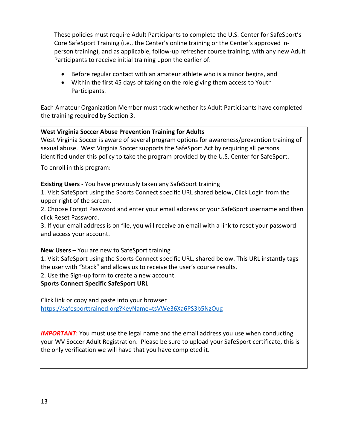These policies must require Adult Participants to complete the U.S. Center for SafeSport's Core SafeSport Training (i.e., the Center's online training or the Center's approved inperson training), and as applicable, follow-up refresher course training, with any new Adult Participants to receive initial training upon the earlier of:

- Before regular contact with an amateur athlete who is a minor begins, and
- Within the first 45 days of taking on the role giving them access to Youth Participants.

Each Amateur Organization Member must track whether its Adult Participants have completed the training required by Section 3.

#### **West Virginia Soccer Abuse Prevention Training for Adults**

West Virginia Soccer is aware of several program options for awareness/prevention training of sexual abuse. West Virginia Soccer supports the SafeSport Act by requiring all persons identified under this policy to take the program provided by the U.S. Center for SafeSport.

To enroll in this program:

**Existing Users** - You have previously taken any SafeSport training

1. Visit SafeSport using the Sports Connect specific URL shared below, Click Login from the upper right of the screen.

2. Choose Forgot Password and enter your email address or your SafeSport username and then click Reset Password.

3. If your email address is on file, you will receive an email with a link to reset your password and access your account.

#### **New Users** – You are new to SafeSport training

1. Visit SafeSport using the Sports Connect specific URL, shared below. This URL instantly tags the user with "Stack" and allows us to receive the user's course results.

2. Use the Sign-up form to create a new account.

**Sports Connect Specific SafeSport URL** 

Click link or copy and paste into your browser [https://safesporttrained.org?KeyName=tsVWe36Xa6PS3b5NzOug](https://safesporttrained.org/?KeyName=tsVWe36Xa6PS3b5NzOug)

**IMPORTANT:** You must use the legal name and the email address you use when conducting your WV Soccer Adult Registration. Please be sure to upload your SafeSport certificate, this is the only verification we will have that you have completed it.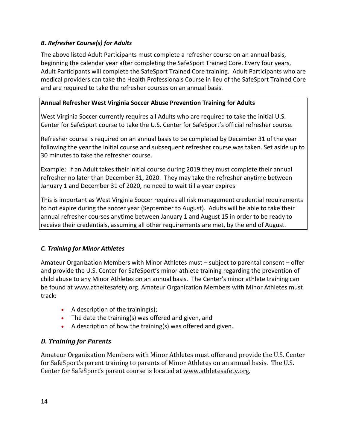#### *B. Refresher Course(s) for Adults*

The above listed Adult Participants must complete a refresher course on an annual basis, beginning the calendar year after completing the SafeSport Trained Core. Every four years, Adult Participants will complete the SafeSport Trained Core training. Adult Participants who are medical providers can take the Health Professionals Course in lieu of the SafeSport Trained Core and are required to take the refresher courses on an annual basis.

#### **Annual Refresher West Virginia Soccer Abuse Prevention Training for Adults**

West Virginia Soccer currently requires all Adults who are required to take the initial U.S. Center for SafeSport course to take the U.S. Center for SafeSport's official refresher course.

Refresher course is required on an annual basis to be completed by December 31 of the year following the year the initial course and subsequent refresher course was taken. Set aside up to 30 minutes to take the refresher course.

Example: If an Adult takes their initial course during 2019 they must complete their annual refresher no later than December 31, 2020. They may take the refresher anytime between January 1 and December 31 of 2020, no need to wait till a year expires

This is important as West Virginia Soccer requires all risk management credential requirements to not expire during the soccer year (September to August). Adults will be able to take their annual refresher courses anytime between January 1 and August 15 in order to be ready to receive their credentials, assuming all other requirements are met, by the end of August.

#### *C. Training for Minor Athletes*

Amateur Organization Members with Minor Athletes must – subject to parental consent – offer and provide the U.S. Center for SafeSport's minor athlete training regarding the prevention of child abuse to any Minor Athletes on an annual basis. The Center's minor athlete training can be found at www.atheltesafety.org. Amateur Organization Members with Minor Athletes must track:

- A description of the training(s);
- The date the training(s) was offered and given, and
- A description of how the training(s) was offered and given.

#### *D. Training for Parents*

Amateur Organization Members with Minor Athletes must offer and provide the U.S. Center for SafeSport's parent training to parents of Minor Athletes on an annual basis. The U.S. Center for SafeSport's parent course is located at [www.athletesafety.org.](http://www.athletesafety.org/)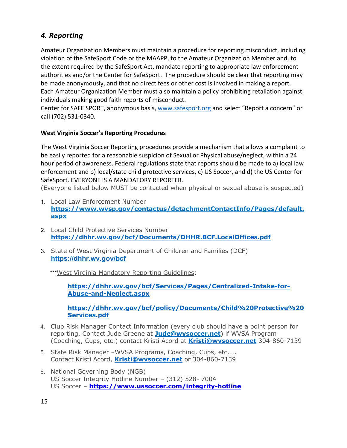#### *4. Reporting*

Amateur Organization Members must maintain a procedure for reporting misconduct, including violation of the SafeSport Code or the MAAPP, to the Amateur Organization Member and, to the extent required by the SafeSport Act, mandate reporting to appropriate law enforcement authorities and/or the Center for SafeSport. The procedure should be clear that reporting may be made anonymously, and that no direct fees or other cost is involved in making a report. Each Amateur Organization Member must also maintain a policy prohibiting retaliation against individuals making good faith reports of misconduct.

Center for SAFE SPORT, anonymous basis, [www.safesport.org](http://www.safesport.org/) and select "Report a concern" or call (702) 531-0340.

#### **West Virginia Soccer's Reporting Procedures**

The West Virginia Soccer Reporting procedures provide a mechanism that allows a complaint to be easily reported for a reasonable suspicion of Sexual or Physical abuse/neglect, within a 24 hour period of awareness. Federal regulations state that reports should be made to a) local law enforcement and b) local/state child protective services, c) US Soccer, and d) the US Center for SafeSport. EVERYONE IS A MANDATORY REPORTER.

(Everyone listed below MUST be contacted when physical or sexual abuse is suspected)

- 1. Local Law Enforcement Number **[https://www.wvsp.gov/contactus/detachmentContactInfo/Pages/default.](https://www.wvsp.gov/contactus/detachmentContactInfo/Pages/default.aspx) [aspx](https://www.wvsp.gov/contactus/detachmentContactInfo/Pages/default.aspx)**
- 2. Local Child Protective Services Number **<https://dhhr.wv.gov/bcf/Documents/DHHR.BCF.LocalOffices.pdf>**
- 3. State of West Virginia Department of Children and Families (DCF) **<https://dhhr.wv.gov/bcf>**

\*\*\*West Virginia Mandatory Reporting Guidelines:

**[https://dhhr.wv.gov/bcf/Services/Pages/Centralized-Intake-for-](https://dhhr.wv.gov/bcf/Services/Pages/Centralized-Intake-for-Abuse-and-Neglect.aspx)[Abuse-and-Neglect.aspx](https://dhhr.wv.gov/bcf/Services/Pages/Centralized-Intake-for-Abuse-and-Neglect.aspx)**

**[https://dhhr.wv.gov/bcf/policy/Documents/Child%20Protective%20](https://dhhr.wv.gov/bcf/policy/Documents/Child%20Protective%20Services.pdf) [Services.pdf](https://dhhr.wv.gov/bcf/policy/Documents/Child%20Protective%20Services.pdf)**

- 4. Club Risk Manager Contact Information (every club should have a point person for reporting, Contact Jude Greene at **Jude@wvsoccer.net**) if WVSA Program (Coaching, Cups, etc.) contact Kristi Acord at **[Kristi@wvsoccer.net](mailto:Kristi@wvsoccer.net)** 304-860-7139
- 5. State Risk Manager –WVSA Programs, Coaching, Cups, etc.…. Contact Kristi Acord, **[Kristi@wvsoccer.net](mailto:Kristi@wvsoccer.net)** or 304-860-7139
- 6. National Governing Body (NGB) US Soccer Integrity Hotline Number – (312) 528- 7004 US Soccer – **<https://www.ussoccer.com/integrity-hotline>**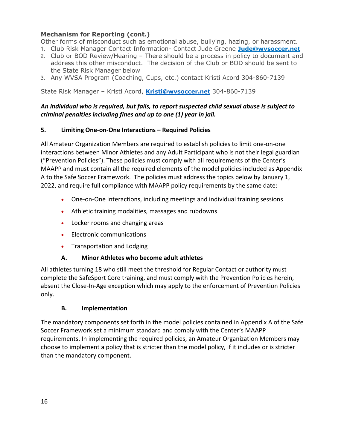#### **Mechanism for Reporting (cont.)**

Other forms of misconduct such as emotional abuse, bullying, hazing, or harassment.

- 1. Club Risk Manager Contact Information- Contact Jude Greene **Jude@wvsoccer.net**
- 2. Club or BOD Review/Hearing There should be a process in policy to document and address this other misconduct. The decision of the Club or BOD should be sent to the State Risk Manager below
- 3. Any WVSA Program (Coaching, Cups, etc.) contact Kristi Acord 304-860-7139

State Risk Manager – Kristi Acord, **[Kristi@wvsoccer.net](mailto:Kristi@wvsoccer.net)** 304-860-7139

#### *An individual who is required, but fails, to report suspected child sexual abuse is subject to criminal penalties including fines and up to one (1) year in jail.*

#### **5. Limiting One-on-One Interactions – Required Policies**

All Amateur Organization Members are required to establish policies to limit one-on-one interactions between Minor Athletes and any Adult Participant who is not their legal guardian ("Prevention Policies"). These policies must comply with all requirements of the Center's MAAPP and must contain all the required elements of the model policies included as Appendix A to the Safe Soccer Framework. The policies must address the topics below by January 1, 2022, and require full compliance with MAAPP policy requirements by the same date:

- One-on-One Interactions, including meetings and individual training sessions
- Athletic training modalities, massages and rubdowns
- Locker rooms and changing areas
- Electronic communications
- Transportation and Lodging

#### **A. Minor Athletes who become adult athletes**

All athletes turning 18 who still meet the threshold for Regular Contact or authority must complete the SafeSport Core training, and must comply with the Prevention Policies herein, absent the Close-In-Age exception which may apply to the enforcement of Prevention Policies only.

#### **B. Implementation**

The mandatory components set forth in the model policies contained in Appendix A of the Safe Soccer Framework set a minimum standard and comply with the Center's MAAPP requirements. In implementing the required policies, an Amateur Organization Members may choose to implement a policy that is stricter than the model policy, if it includes or is stricter than the mandatory component.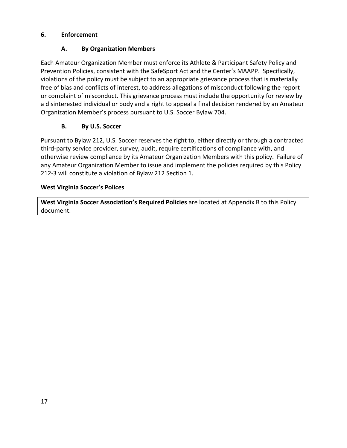#### **6. Enforcement**

#### **A. By Organization Members**

Each Amateur Organization Member must enforce its Athlete & Participant Safety Policy and Prevention Policies, consistent with the SafeSport Act and the Center's MAAPP. Specifically, violations of the policy must be subject to an appropriate grievance process that is materially free of bias and conflicts of interest, to address allegations of misconduct following the report or complaint of misconduct. This grievance process must include the opportunity for review by a disinterested individual or body and a right to appeal a final decision rendered by an Amateur Organization Member's process pursuant to U.S. Soccer Bylaw 704.

#### **B. By U.S. Soccer**

Pursuant to Bylaw 212, U.S. Soccer reserves the right to, either directly or through a contracted third-party service provider, survey, audit, require certifications of compliance with, and otherwise review compliance by its Amateur Organization Members with this policy. Failure of any Amateur Organization Member to issue and implement the policies required by this Policy 212-3 will constitute a violation of Bylaw 212 Section 1.

#### **West Virginia Soccer's Polices**

**West Virginia Soccer Association's Required Policies** are located at Appendix B to this Policy document.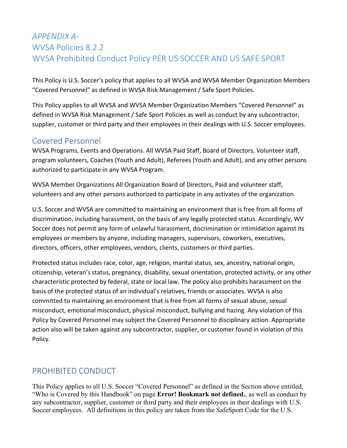## <span id="page-17-0"></span>*APPENDIX A-*WVSA Policies 8.2.2 WVSA Prohibited Conduct Policy PER US SOCCER AND US SAFE SPORT

This Policy is U.S. Soccer's policy that applies to all WVSA and WVSA Member Organization Members "Covered Personnel" as defined in WVSA Risk Management / Safe Sport Policies.

This Policy applies to all WVSA and WVSA Member Organization Members "Covered Personnel" as defined in WVSA Risk Management / Safe Sport Policies as well as conduct by any subcontractor, supplier, customer or third party and their employees in their dealings with U.S. Soccer employees.

## Covered Personnel

WVSA Programs, Events and Operations. All WVSA Paid Staff, Board of Directors, Volunteer staff, program volunteers, Coaches (Youth and Adult), Referees (Youth and Adult), and any other persons authorized to participate in any WVSA Program.

WVSA Member Organizations All Organization Board of Directors, Paid and volunteer staff, volunteers and any other persons authorized to participate in any activates of the organization.

U.S. Soccer and WVSA are committed to maintaining an environment that is free from all forms of discrimination, including harassment, on the basis of any legally protected status. Accordingly, WV Soccer does not permit any form of unlawful harassment, discrimination or intimidation against its employees or members by anyone, including managers, supervisors, coworkers, executives, directors, officers, other employees, vendors, clients, customers or third parties.

Protected status includes race, color, age, religion, marital status, sex, ancestry, national origin, citizenship, veteran's status, pregnancy, disability, sexual orientation, protected activity, or any other characteristic protected by federal, state or local law. The policy also prohibits harassment on the basis of the protected status of an individual's relatives, friends or associates. WVSA is also committed to maintaining an environment that is free from all forms of sexual abuse, sexual misconduct, emotional misconduct, physical misconduct, bullying and hazing. Any violation of this Policy by Covered Personnel may subject the Covered Personnel to disciplinary action. Appropriate action also will be taken against any subcontractor, supplier, or customer found in violation of this Policy.

## PROHIBITED CONDUCT

This Policy applies to all U.S. Soccer "Covered Personnel" as defined in the Section above entitled, "Who is Covered by this Handbook" on page **Error! Bookmark not defined.**, as well as conduct by any subcontractor, supplier, customer or third party and their employees in their dealings with U.S. Soccer employees. All definitions in this policy are taken from the SafeSport Code for the U.S.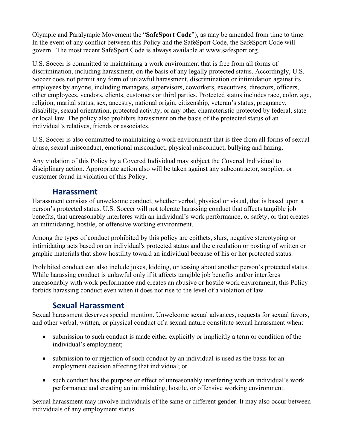Olympic and Paralympic Movement the "**SafeSport Code**"), as may be amended from time to time. In the event of any conflict between this Policy and the SafeSport Code, the SafeSport Code will govern. The most recent SafeSport Code is always available at www.safesport.org.

U.S. Soccer is committed to maintaining a work environment that is free from all forms of discrimination, including harassment, on the basis of any legally protected status. Accordingly, U.S. Soccer does not permit any form of unlawful harassment, discrimination or intimidation against its employees by anyone, including managers, supervisors, coworkers, executives, directors, officers, other employees, vendors, clients, customers or third parties. Protected status includes race, color, age, religion, marital status, sex, ancestry, national origin, citizenship, veteran's status, pregnancy, disability, sexual orientation, protected activity, or any other characteristic protected by federal, state or local law. The policy also prohibits harassment on the basis of the protected status of an individual's relatives, friends or associates.

U.S. Soccer is also committed to maintaining a work environment that is free from all forms of sexual abuse, sexual misconduct, emotional misconduct, physical misconduct, bullying and hazing.

Any violation of this Policy by a Covered Individual may subject the Covered Individual to disciplinary action. Appropriate action also will be taken against any subcontractor, supplier, or customer found in violation of this Policy.

## **Harassment**

Harassment consists of unwelcome conduct, whether verbal, physical or visual, that is based upon a person's protected status. U.S. Soccer will not tolerate harassing conduct that affects tangible job benefits, that unreasonably interferes with an individual's work performance, or safety, or that creates an intimidating, hostile, or offensive working environment.

Among the types of conduct prohibited by this policy are epithets, slurs, negative stereotyping or intimidating acts based on an individual's protected status and the circulation or posting of written or graphic materials that show hostility toward an individual because of his or her protected status.

Prohibited conduct can also include jokes, kidding, or teasing about another person's protected status. While harassing conduct is unlawful only if it affects tangible job benefits and/or interferes unreasonably with work performance and creates an abusive or hostile work environment, this Policy forbids harassing conduct even when it does not rise to the level of a violation of law.

## **Sexual Harassment**

Sexual harassment deserves special mention. Unwelcome sexual advances, requests for sexual favors, and other verbal, written, or physical conduct of a sexual nature constitute sexual harassment when:

- submission to such conduct is made either explicitly or implicitly a term or condition of the individual's employment;
- submission to or rejection of such conduct by an individual is used as the basis for an employment decision affecting that individual; or
- such conduct has the purpose or effect of unreasonably interfering with an individual's work performance and creating an intimidating, hostile, or offensive working environment.

Sexual harassment may involve individuals of the same or different gender. It may also occur between individuals of any employment status.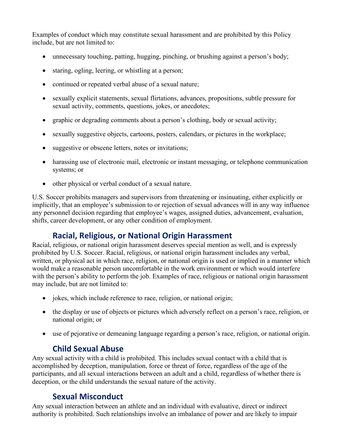Examples of conduct which may constitute sexual harassment and are prohibited by this Policy include, but are not limited to:

- unnecessary touching, patting, hugging, pinching, or brushing against a person's body;
- staring, ogling, leering, or whistling at a person;
- continued or repeated verbal abuse of a sexual nature;
- sexually explicit statements, sexual flirtations, advances, propositions, subtle pressure for sexual activity, comments, questions, jokes, or anecdotes;
- graphic or degrading comments about a person's clothing, body or sexual activity;
- sexually suggestive objects, cartoons, posters, calendars, or pictures in the workplace;
- suggestive or obscene letters, notes or invitations;
- harassing use of electronic mail, electronic or instant messaging, or telephone communication systems; or
- other physical or verbal conduct of a sexual nature.

U.S. Soccer prohibits managers and supervisors from threatening or insinuating, either explicitly or implicitly, that an employee's submission to or rejection of sexual advances will in any way influence any personnel decision regarding that employee's wages, assigned duties, advancement, evaluation, shifts, career development, or any other condition of employment.

## **Racial, Religious, or National Origin Harassment**

Racial, religious, or national origin harassment deserves special mention as well, and is expressly prohibited by U.S. Soccer. Racial, religious, or national origin harassment includes any verbal, written, or physical act in which race, religion, or national origin is used or implied in a manner which would make a reasonable person uncomfortable in the work environment or which would interfere with the person's ability to perform the job. Examples of race, religious or national origin harassment may include, but are not limited to:

- jokes, which include reference to race, religion, or national origin;
- the display or use of objects or pictures which adversely reflect on a person's race, religion, or national origin; or
- use of pejorative or demeaning language regarding a person's race, religion, or national origin.

## **Child Sexual Abuse**

Any sexual activity with a child is prohibited. This includes sexual contact with a child that is accomplished by deception, manipulation, force or threat of force, regardless of the age of the participants, and all sexual interactions between an adult and a child, regardless of whether there is deception, or the child understands the sexual nature of the activity.

## **Sexual Misconduct**

Any sexual interaction between an athlete and an individual with evaluative, direct or indirect authority is prohibited. Such relationships involve an imbalance of power and are likely to impair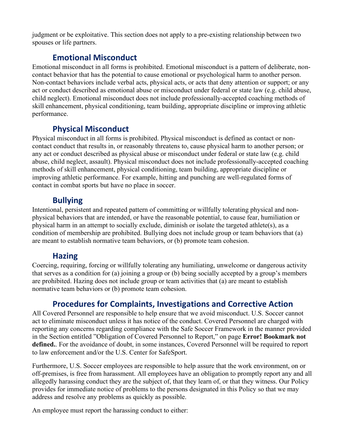judgment or be exploitative. This section does not apply to a pre-existing relationship between two spouses or life partners.

## **Emotional Misconduct**

Emotional misconduct in all forms is prohibited. Emotional misconduct is a pattern of deliberate, noncontact behavior that has the potential to cause emotional or psychological harm to another person. Non-contact behaviors include verbal acts, physical acts, or acts that deny attention or support; or any act or conduct described as emotional abuse or misconduct under federal or state law (e.g. child abuse, child neglect). Emotional misconduct does not include professionally-accepted coaching methods of skill enhancement, physical conditioning, team building, appropriate discipline or improving athletic performance.

## **Physical Misconduct**

Physical misconduct in all forms is prohibited. Physical misconduct is defined as contact or noncontact conduct that results in, or reasonably threatens to, cause physical harm to another person; or any act or conduct described as physical abuse or misconduct under federal or state law (e.g. child abuse, child neglect, assault). Physical misconduct does not include professionally-accepted coaching methods of skill enhancement, physical conditioning, team building, appropriate discipline or improving athletic performance. For example, hitting and punching are well-regulated forms of contact in combat sports but have no place in soccer.

## **Bullying**

Intentional, persistent and repeated pattern of committing or willfully tolerating physical and nonphysical behaviors that are intended, or have the reasonable potential, to cause fear, humiliation or physical harm in an attempt to socially exclude, diminish or isolate the targeted athlete(s), as a condition of membership are prohibited. Bullying does not include group or team behaviors that (a) are meant to establish normative team behaviors, or (b) promote team cohesion.

## **Hazing**

Coercing, requiring, forcing or willfully tolerating any humiliating, unwelcome or dangerous activity that serves as a condition for (a) joining a group or (b) being socially accepted by a group's members are prohibited. Hazing does not include group or team activities that (a) are meant to establish normative team behaviors or (b) promote team cohesion.

## **Procedures for Complaints, Investigations and Corrective Action**

All Covered Personnel are responsible to help ensure that we avoid misconduct. U.S. Soccer cannot act to eliminate misconduct unless it has notice of the conduct. Covered Personnel are charged with reporting any concerns regarding compliance with the Safe Soccer Framework in the manner provided in the Section entitled "Obligation of Covered Personnel to Report," on page **Error! Bookmark not defined.**. For the avoidance of doubt, in some instances, Covered Personnel will be required to report to law enforcement and/or the U.S. Center for SafeSport.

Furthermore, U.S. Soccer employees are responsible to help assure that the work environment, on or off-premises, is free from harassment. All employees have an obligation to promptly report any and all allegedly harassing conduct they are the subject of, that they learn of, or that they witness. Our Policy provides for immediate notice of problems to the persons designated in this Policy so that we may address and resolve any problems as quickly as possible.

An employee must report the harassing conduct to either: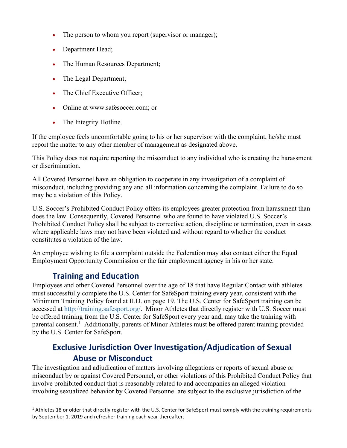- The person to whom you report (supervisor or manager);
- Department Head;
- The Human Resources Department;
- The Legal Department;
- The Chief Executive Officer;
- Online at www.safesoccer.com; or
- The Integrity Hotline.

If the employee feels uncomfortable going to his or her supervisor with the complaint, he/she must report the matter to any other member of management as designated above.

This Policy does not require reporting the misconduct to any individual who is creating the harassment or discrimination.

All Covered Personnel have an obligation to cooperate in any investigation of a complaint of misconduct, including providing any and all information concerning the complaint. Failure to do so may be a violation of this Policy.

U.S. Soccer's Prohibited Conduct Policy offers its employees greater protection from harassment than does the law. Consequently, Covered Personnel who are found to have violated U.S. Soccer's Prohibited Conduct Policy shall be subject to corrective action, discipline or termination, even in cases where applicable laws may not have been violated and without regard to whether the conduct constitutes a violation of the law.

An employee wishing to file a complaint outside the Federation may also contact either the Equal Employment Opportunity Commission or the fair employment agency in his or her state.

## **Training and Education**

Employees and other Covered Personnel over the age of 18 that have Regular Contact with athletes must successfully complete the U.S. Center for SafeSport training every year, consistent with the Minimum Training Policy found at II.D. on page 19. The U.S. Center for SafeSport training can be accessed at [http://training.safesport.org/.](http://training.safesport.org/) Minor Athletes that directly register with U.S. Soccer must be offered training from the U.S. Center for SafeSport every year and, may take the training with parental consent.<sup>[1](#page-21-0)</sup> Additionally, parents of Minor Athletes must be offered parent training provided by the U.S. Center for SafeSport.

## <span id="page-21-1"></span>**Exclusive Jurisdiction Over Investigation/Adjudication of Sexual Abuse or Misconduct**

The investigation and adjudication of matters involving allegations or reports of sexual abuse or misconduct by or against Covered Personnel, or other violations of this Prohibited Conduct Policy that involve prohibited conduct that is reasonably related to and accompanies an alleged violation involving sexualized behavior by Covered Personnel are subject to the exclusive jurisdiction of the

<span id="page-21-0"></span><sup>&</sup>lt;sup>1</sup> Athletes 18 or older that directly register with the U.S. Center for SafeSport must comply with the training requirements by September 1, 2019 and refresher training each year thereafter.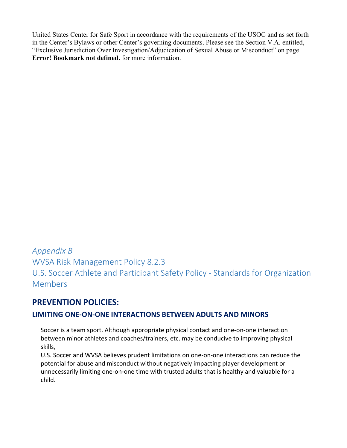United States Center for Safe Sport in accordance with the requirements of the USOC and as set forth in the Center's Bylaws or other Center's governing documents. Please see the Section V.A. entitled, ["Exclusive Jurisdiction Over Investigation/Adjudication of Sexual Abuse or Misconduct"](#page-21-1) on page **Error! Bookmark not defined.** for more information.

*Appendix B* WVSA Risk Management Policy 8.2.3 U.S. Soccer Athlete and Participant Safety Policy - Standards for Organization Members

## **PREVENTION POLICIES:**

#### **LIMITING ONE-ON-ONE INTERACTIONS BETWEEN ADULTS AND MINORS**

Soccer is a team sport. Although appropriate physical contact and one-on-one interaction between minor athletes and coaches/trainers, etc. may be conducive to improving physical skills,

U.S. Soccer and WVSA believes prudent limitations on one-on-one interactions can reduce the potential for abuse and misconduct without negatively impacting player development or unnecessarily limiting one-on-one time with trusted adults that is healthy and valuable for a child.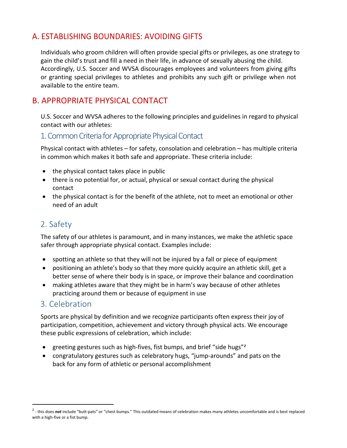## A. ESTABLISHING BOUNDARIES: AVOIDING GIFTS

Individuals who groom children will often provide special gifts or privileges, as one strategy to gain the child's trust and fill a need in their life, in advance of sexually abusing the child. Accordingly, U.S. Soccer and WVSA discourages employees and volunteers from giving gifts or granting special privileges to athletes and prohibits any such gift or privilege when not available to the entire team.

## B. APPROPRIATE PHYSICAL CONTACT

U.S. Soccer and WVSA adheres to the following principles and guidelines in regard to physical contact with our athletes:

## 1. Common Criteria for Appropriate Physical Contact

Physical contact with athletes – for safety, consolation and celebration – has multiple criteria in common which makes it both safe and appropriate. These criteria include:

- the physical contact takes place in public
- there is no potential for, or actual, physical or sexual contact during the physical contact
- the physical contact is for the benefit of the athlete, not to meet an emotional or other need of an adult

## 2. Safety

The safety of our athletes is paramount, and in many instances, we make the athletic space safer through appropriate physical contact. Examples include:

- spotting an athlete so that they will not be injured by a fall or piece of equipment
- positioning an athlete's body so that they more quickly acquire an athletic skill, get a better sense of where their body is in space, or improve their balance and coordination
- making athletes aware that they might be in harm's way because of other athletes practicing around them or because of equipment in use

## 3. Celebration

Sports are physical by definition and we recognize participants often express their joy of participation, competition, achievement and victory through physical acts. We encourage these public expressions of celebration, which include:

- greeting gestures such as high-fives, fist bumps, and brief "side hugs"*[2](#page-23-0)*
- congratulatory gestures such as celebratory hugs, "jump-arounds" and pats on the back for any form of athletic or personal accomplishment

<span id="page-23-0"></span><sup>&</sup>lt;sup>2</sup> : this does not include "butt-pats" or "chest bumps." This outdated means of celebration makes many athletes uncomfortable and is best replaced with a high-five or a fist bump.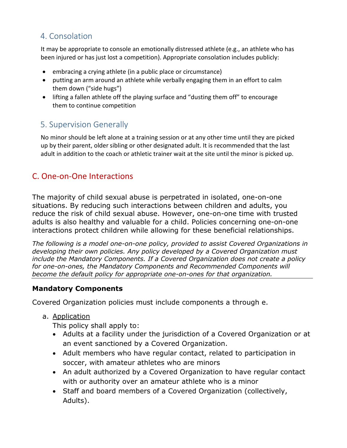## 4. Consolation

It may be appropriate to console an emotionally distressed athlete (e.g., an athlete who has been injured or has just lost a competition). Appropriate consolation includes publicly:

- embracing a crying athlete (in a public place or circumstance)
- putting an arm around an athlete while verbally engaging them in an effort to calm them down ("side hugs")
- lifting a fallen athlete off the playing surface and "dusting them off" to encourage them to continue competition

## 5. Supervision Generally

No minor should be left alone at a training session or at any other time until they are picked up by their parent, older sibling or other designated adult. It is recommended that the last adult in addition to the coach or athletic trainer wait at the site until the minor is picked up.

## C. One-on-One Interactions

The majority of child sexual abuse is perpetrated in isolated, one-on-one situations. By reducing such interactions between children and adults, you reduce the risk of child sexual abuse. However, one-on-one time with trusted adults is also healthy and valuable for a child. Policies concerning one-on-one interactions protect children while allowing for these beneficial relationships.

*The following is a model one-on-one policy, provided to assist Covered Organizations in developing their own policies. Any policy developed by a Covered Organization must include the Mandatory Components. If a Covered Organization does not create a policy for one-on-ones, the Mandatory Components and Recommended Components will become the default policy for appropriate one-on-ones for that organization.* 

#### **Mandatory Components**

Covered Organization policies must include components a through e.

a. Application

This policy shall apply to:

- Adults at a facility under the jurisdiction of a Covered Organization or at an event sanctioned by a Covered Organization.
- Adult members who have regular contact, related to participation in soccer, with amateur athletes who are minors
- An adult authorized by a Covered Organization to have regular contact with or authority over an amateur athlete who is a minor
- Staff and board members of a Covered Organization (collectively, Adults).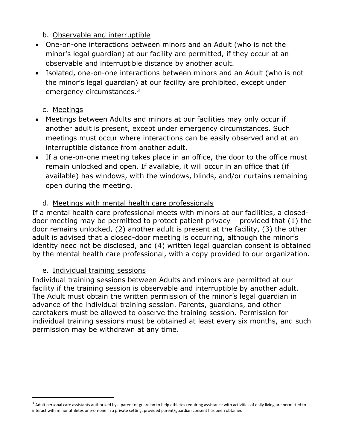## b. Observable and interruptible

- One-on-one interactions between minors and an Adult (who is not the minor's legal guardian) at our facility are permitted, if they occur at an observable and interruptible distance by another adult.
- Isolated, one-on-one interactions between minors and an Adult (who is not the minor's legal guardian) at our facility are prohibited, except under emergency circumstances.<sup>[3](#page-25-0)</sup>

## c. Meetings

- Meetings between Adults and minors at our facilities may only occur if another adult is present, except under emergency circumstances. Such meetings must occur where interactions can be easily observed and at an interruptible distance from another adult.
- If a one-on-one meeting takes place in an office, the door to the office must remain unlocked and open. If available, it will occur in an office that (if available) has windows, with the windows, blinds, and/or curtains remaining open during the meeting.

## d. Meetings with mental health care professionals

If a mental health care professional meets with minors at our facilities, a closeddoor meeting may be permitted to protect patient privacy – provided that (1) the door remains unlocked, (2) another adult is present at the facility, (3) the other adult is advised that a closed-door meeting is occurring, although the minor's identity need not be disclosed, and (4) written legal guardian consent is obtained by the mental health care professional, with a copy provided to our organization.

#### e. Individual training sessions

Individual training sessions between Adults and minors are permitted at our facility if the training session is observable and interruptible by another adult. The Adult must obtain the written permission of the minor's legal guardian in advance of the individual training session. Parents, guardians, and other caretakers must be allowed to observe the training session. Permission for individual training sessions must be obtained at least every six months, and such permission may be withdrawn at any time.

<span id="page-25-0"></span> $3$  Adult personal care assistants authorized by a parent or guardian to help athletes requiring assistance with activities of daily living are permitted to interact with minor athletes one-on-one in a private setting, provided parent/guardian consent has been obtained.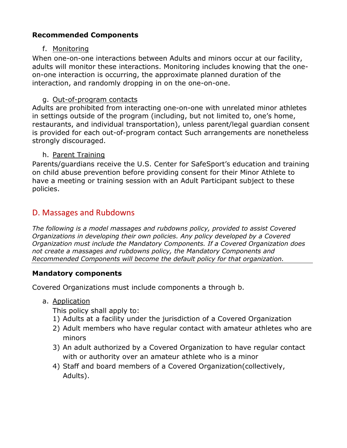## **Recommended Components**

#### f. Monitoring

When one-on-one interactions between Adults and minors occur at our facility, adults will monitor these interactions. Monitoring includes knowing that the oneon-one interaction is occurring, the approximate planned duration of the interaction, and randomly dropping in on the one-on-one.

#### g. Out-of-program contacts

Adults are prohibited from interacting one-on-one with unrelated minor athletes in settings outside of the program (including, but not limited to, one's home, restaurants, and individual transportation), unless parent/legal guardian consent is provided for each out-of-program contact Such arrangements are nonetheless strongly discouraged.

#### h. Parent Training

Parents/guardians receive the U.S. Center for SafeSport's education and training on child abuse prevention before providing consent for their Minor Athlete to have a meeting or training session with an Adult Participant subject to these policies.

## D. Massages and Rubdowns

*The following is a model massages and rubdowns policy, provided to assist Covered Organizations in developing their own policies. Any policy developed by a Covered Organization must include the Mandatory Components. If a Covered Organization does not create a massages and rubdowns policy, the Mandatory Components and Recommended Components will become the default policy for that organization.* 

#### **Mandatory components**

Covered Organizations must include components a through b.

a. Application

This policy shall apply to:

- 1) Adults at a facility under the jurisdiction of a Covered Organization
- 2) Adult members who have regular contact with amateur athletes who are minors
- 3) An adult authorized by a Covered Organization to have regular contact with or authority over an amateur athlete who is a minor
- 4) Staff and board members of a Covered Organization(collectively, Adults).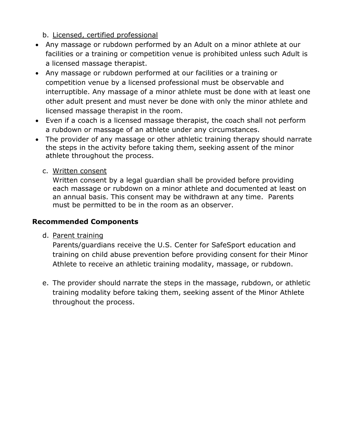b. Licensed, certified professional

- Any massage or rubdown performed by an Adult on a minor athlete at our facilities or a training or competition venue is prohibited unless such Adult is a licensed massage therapist.
- Any massage or rubdown performed at our facilities or a training or competition venue by a licensed professional must be observable and interruptible. Any massage of a minor athlete must be done with at least one other adult present and must never be done with only the minor athlete and licensed massage therapist in the room.
- Even if a coach is a licensed massage therapist, the coach shall not perform a rubdown or massage of an athlete under any circumstances.
- The provider of any massage or other athletic training therapy should narrate the steps in the activity before taking them, seeking assent of the minor athlete throughout the process.
	- c. Written consent

Written consent by a legal guardian shall be provided before providing each massage or rubdown on a minor athlete and documented at least on an annual basis. This consent may be withdrawn at any time. Parents must be permitted to be in the room as an observer.

## **Recommended Components**

d. Parent training

Parents/guardians receive the U.S. Center for SafeSport education and training on child abuse prevention before providing consent for their Minor Athlete to receive an athletic training modality, massage, or rubdown.

e. The provider should narrate the steps in the massage, rubdown, or athletic training modality before taking them, seeking assent of the Minor Athlete throughout the process.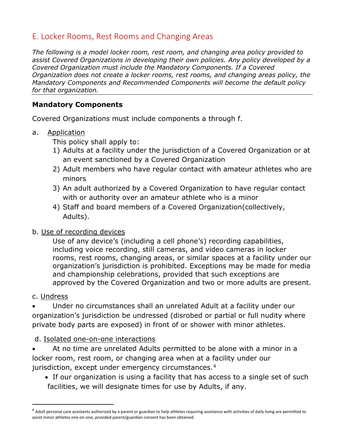## E. Locker Rooms, Rest Rooms and Changing Areas

*The following is a model locker room, rest room, and changing area policy provided to assist Covered Organizations in developing their own policies. Any policy developed by a Covered Organization must include the Mandatory Components. If a Covered Organization does not create a locker rooms, rest rooms, and changing areas policy, the Mandatory Components and Recommended Components will become the default policy for that organization.* 

#### **Mandatory Components**

Covered Organizations must include components a through f.

a. Application

This policy shall apply to:

- 1) Adults at a facility under the jurisdiction of a Covered Organization or at an event sanctioned by a Covered Organization
- 2) Adult members who have regular contact with amateur athletes who are minors
- 3) An adult authorized by a Covered Organization to have regular contact with or authority over an amateur athlete who is a minor
- 4) Staff and board members of a Covered Organization(collectively, Adults).

#### b. Use of recording devices

Use of any device's (including a cell phone's) recording capabilities, including voice recording, still cameras, and video cameras in locker rooms, rest rooms, changing areas, or similar spaces at a facility under our organization's jurisdiction is prohibited. Exceptions may be made for media and championship celebrations, provided that such exceptions are approved by the Covered Organization and two or more adults are present.

#### c. Undress

• Under no circumstances shall an unrelated Adult at a facility under our organization's jurisdiction be undressed (disrobed or partial or full nudity where private body parts are exposed) in front of or shower with minor athletes.

#### d. Isolated one-on-one interactions

• At no time are unrelated Adults permitted to be alone with a minor in a locker room, rest room, or changing area when at a facility under our jurisdiction, except under emergency circumstances.[4](#page-28-0)

• If our organization is using a facility that has access to a single set of such facilities, we will designate times for use by Adults, if any.

<span id="page-28-0"></span> $4$  Adult personal care assistants authorized by a parent or guardian to help athletes requiring assistance with activities of daily living are permitted to assist minor athletes one-on-one, provided parent/guardian consent has been obtained.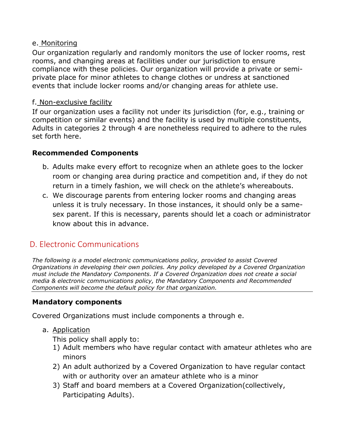#### e. Monitoring

Our organization regularly and randomly monitors the use of locker rooms, rest rooms, and changing areas at facilities under our jurisdiction to ensure compliance with these policies. Our organization will provide a private or semiprivate place for minor athletes to change clothes or undress at sanctioned events that include locker rooms and/or changing areas for athlete use.

#### f. Non-exclusive facility

If our organization uses a facility not under its jurisdiction (for, e.g., training or competition or similar events) and the facility is used by multiple constituents, Adults in categories 2 through 4 are nonetheless required to adhere to the rules set forth here.

#### **Recommended Components**

- b. Adults make every effort to recognize when an athlete goes to the locker room or changing area during practice and competition and, if they do not return in a timely fashion, we will check on the athlete's whereabouts.
- c. We discourage parents from entering locker rooms and changing areas unless it is truly necessary. In those instances, it should only be a samesex parent. If this is necessary, parents should let a coach or administrator know about this in advance.

## D. Electronic Communications

*The following is a model electronic communications policy, provided to assist Covered Organizations in developing their own policies. Any policy developed by a Covered Organization must include the Mandatory Components. If a Covered Organization does not create a social media & electronic communications policy, the Mandatory Components and Recommended Components will become the default policy for that organization.* 

#### **Mandatory components**

Covered Organizations must include components a through e.

a. Application

This policy shall apply to:

- 1) Adult members who have regular contact with amateur athletes who are minors
- 2) An adult authorized by a Covered Organization to have regular contact with or authority over an amateur athlete who is a minor
- 3) Staff and board members at a Covered Organization(collectively, Participating Adults).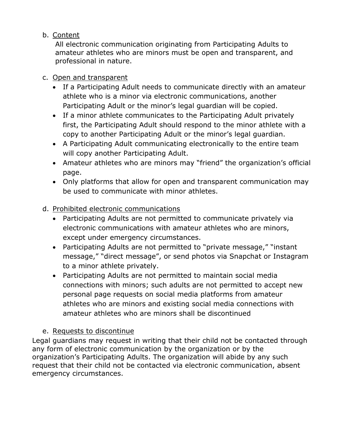## b. Content

All electronic communication originating from Participating Adults to amateur athletes who are minors must be open and transparent, and professional in nature.

#### c. Open and transparent

- If a Participating Adult needs to communicate directly with an amateur athlete who is a minor via electronic communications, another Participating Adult or the minor's legal guardian will be copied.
- If a minor athlete communicates to the Participating Adult privately first, the Participating Adult should respond to the minor athlete with a copy to another Participating Adult or the minor's legal guardian.
- A Participating Adult communicating electronically to the entire team will copy another Participating Adult.
- Amateur athletes who are minors may "friend" the organization's official page.
- Only platforms that allow for open and transparent communication may be used to communicate with minor athletes.

## d. Prohibited electronic communications

- Participating Adults are not permitted to communicate privately via electronic communications with amateur athletes who are minors, except under emergency circumstances.
- Participating Adults are not permitted to "private message," "instant message," "direct message", or send photos via Snapchat or Instagram to a minor athlete privately.
- Participating Adults are not permitted to maintain social media connections with minors; such adults are not permitted to accept new personal page requests on social media platforms from amateur athletes who are minors and existing social media connections with amateur athletes who are minors shall be discontinued

#### e. Requests to discontinue

Legal guardians may request in writing that their child not be contacted through any form of electronic communication by the organization or by the organization's Participating Adults. The organization will abide by any such request that their child not be contacted via electronic communication, absent emergency circumstances.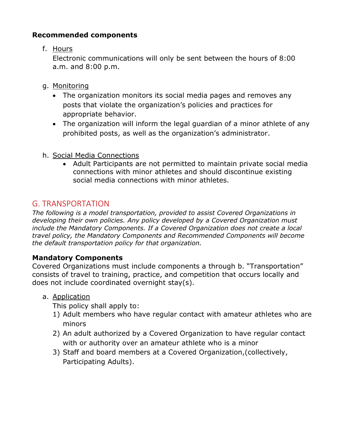## **Recommended components**

f. Hours

Electronic communications will only be sent between the hours of 8:00 a.m. and 8:00 p.m.

- g. Monitoring
	- The organization monitors its social media pages and removes any posts that violate the organization's policies and practices for appropriate behavior.
	- The organization will inform the legal guardian of a minor athlete of any prohibited posts, as well as the organization's administrator.
- h. Social Media Connections
	- Adult Participants are not permitted to maintain private social media connections with minor athletes and should discontinue existing social media connections with minor athletes.

## G. TRANSPORTATION

*The following is a model transportation, provided to assist Covered Organizations in developing their own policies. Any policy developed by a Covered Organization must include the Mandatory Components. If a Covered Organization does not create a local travel policy, the Mandatory Components and Recommended Components will become the default transportation policy for that organization.* 

## **Mandatory Components**

Covered Organizations must include components a through b. "Transportation" consists of travel to training, practice, and competition that occurs locally and does not include coordinated overnight stay(s).

## a. Application

This policy shall apply to:

- 1) Adult members who have regular contact with amateur athletes who are minors
- 2) An adult authorized by a Covered Organization to have regular contact with or authority over an amateur athlete who is a minor
- 3) Staff and board members at a Covered Organization,(collectively, Participating Adults).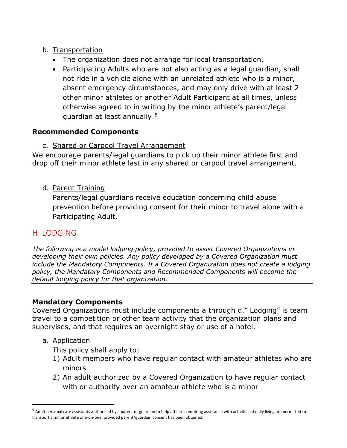## b. Transportation

- The organization does not arrange for local transportation.
- Participating Adults who are not also acting as a legal guardian, shall not ride in a vehicle alone with an unrelated athlete who is a minor, absent emergency circumstances, and may only drive with at least 2 other minor athletes or another Adult Participant at all times, unless otherwise agreed to in writing by the minor athlete's parent/legal guardian at least annually.[5](#page-32-0)

#### **Recommended Components**

c. Shared or Carpool Travel Arrangement

We encourage parents/legal guardians to pick up their minor athlete first and drop off their minor athlete last in any shared or carpool travel arrangement.

#### d. Parent Training

Parents/legal guardians receive education concerning child abuse prevention before providing consent for their minor to travel alone with a Participating Adult.

## H. LODGING

*The following is a model lodging policy, provided to assist Covered Organizations in developing their own policies. Any policy developed by a Covered Organization must include the Mandatory Components. If a Covered Organization does not create a lodging policy, the Mandatory Components and Recommended Components will become the default lodging policy for that organization.* 

#### **Mandatory Components**

Covered Organizations must include components a through d." Lodging" is team travel to a competition or other team activity that the organization plans and supervises, and that requires an overnight stay or use of a hotel.

a. Application

This policy shall apply to:

- 1) Adult members who have regular contact with amateur athletes who are minors
- 2) An adult authorized by a Covered Organization to have regular contact with or authority over an amateur athlete who is a minor

<span id="page-32-0"></span> $<sup>5</sup>$  Adult personal care assistants authorized by a parent or guardian to help athletes requiring assistance with activities of daily living are permitted to</sup> transport a minor athlete one-on-one, provided parent/guardian consent has been obtained.